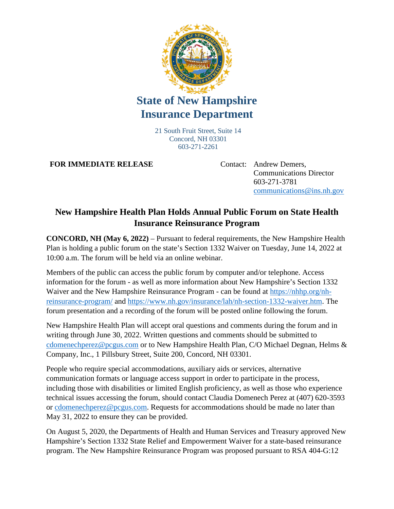

## **State of New Hampshire Insurance Department**

21 South Fruit Street, Suite 14 Concord, NH 03301 603-271-2261

**FOR IMMEDIATE RELEASE** Contact: Andrew Demers,

Communications Director 603-271-3781 [communications@ins.nh.gov](mailto:communications@ins.nh.gov)

## **New Hampshire Health Plan Holds Annual Public Forum on State Health Insurance Reinsurance Program**

**CONCORD, NH (May 6, 2022)** – Pursuant to federal requirements, the New Hampshire Health Plan is holding a public forum on the state's Section 1332 Waiver on Tuesday, June 14, 2022 at 10:00 a.m. The forum will be held via an online webinar.

Members of the public can access the public forum by computer and/or telephone. Access information for the forum - as well as more information about New Hampshire's Section 1332 Waiver and the New Hampshire Reinsurance Program - can be found at [https://nhhp.org/nh](https://nhhp.org/nh-reinsurance-program/)[reinsurance-program/](https://nhhp.org/nh-reinsurance-program/) and [https://www.nh.gov/insurance/lah/nh-section-1332-waiver.htm.](https://www.nh.gov/insurance/lah/nh-section-1332-waiver.htm) The forum presentation and a recording of the forum will be posted online following the forum.

New Hampshire Health Plan will accept oral questions and comments during the forum and in writing through June 30, 2022. Written questions and comments should be submitted to [cdomenechperez@pcgus.com](mailto:cdomenechperez@pcgus.com) or to New Hampshire Health Plan, C/O Michael Degnan, Helms & Company, Inc., 1 Pillsbury Street, Suite 200, Concord, NH 03301.

People who require special accommodations, auxiliary aids or services, alternative communication formats or language access support in order to participate in the process, including those with disabilities or limited English proficiency, as well as those who experience technical issues accessing the forum, should contact Claudia Domenech Perez at (407) 620-3593 or [cdomenechperez@pcgus.com.](mailto:cdomenechperez@pcgus.com) Requests for accommodations should be made no later than May 31, 2022 to ensure they can be provided.

On August 5, 2020, the Departments of Health and Human Services and Treasury approved New Hampshire's Section 1332 State Relief and Empowerment Waiver for a state-based reinsurance program. The New Hampshire Reinsurance Program was proposed pursuant to RSA 404-G:12